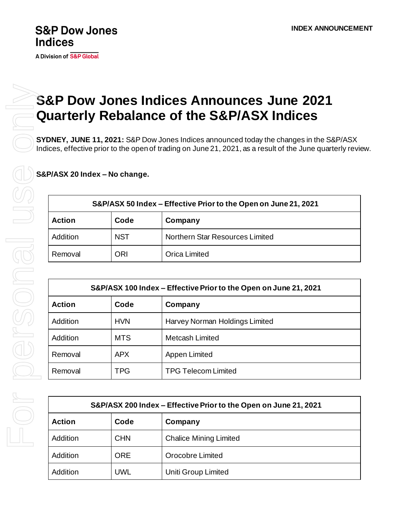## **S&P Dow Jones Indices**

## **S&P Dow Jones Indices Announces June 2021 Quarterly Rebalance of the S&P/ASX Indices**

**SYDNEY, JUNE 11, 2021:** S&P Dow Jones Indices announced today the changes in the S&P/ASX Indices, effective prior to the open of trading on June 21, 2021, as a result of the June quarterly review.

**S&P/ASX 20 Index – No change.**

| S&P/ASX 50 Index – Effective Prior to the Open on June 21, 2021 |            |                                        |  |  |
|-----------------------------------------------------------------|------------|----------------------------------------|--|--|
| <b>Action</b>                                                   | Code       | Company                                |  |  |
| Addition                                                        | <b>NST</b> | <b>Northern Star Resources Limited</b> |  |  |
| Removal                                                         | <b>ORI</b> | <b>Orica Limited</b>                   |  |  |

| S&P/ASX 100 Index - Effective Prior to the Open on June 21, 2021 |            |                                |  |  |
|------------------------------------------------------------------|------------|--------------------------------|--|--|
| <b>Action</b>                                                    | Code       | Company                        |  |  |
| Addition                                                         | <b>HVN</b> | Harvey Norman Holdings Limited |  |  |
| Addition                                                         | <b>MTS</b> | <b>Metcash Limited</b>         |  |  |
| Removal                                                          | <b>APX</b> | Appen Limited                  |  |  |
| Removal                                                          | <b>TPG</b> | <b>TPG Telecom Limited</b>     |  |  |

| S&P/ASX 200 Index - Effective Prior to the Open on June 21, 2021 |            |                               |  |  |
|------------------------------------------------------------------|------------|-------------------------------|--|--|
| <b>Action</b>                                                    | Code       | Company                       |  |  |
| Addition                                                         | <b>CHN</b> | <b>Chalice Mining Limited</b> |  |  |
| Addition                                                         | <b>ORE</b> | Orocobre Limited              |  |  |
| Addition                                                         | <b>UWL</b> | Uniti Group Limited           |  |  |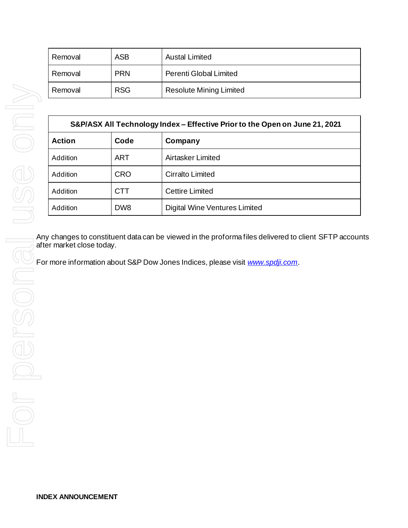| Removal | <b>ASB</b> | <b>Austal Limited</b>          |  |
|---------|------------|--------------------------------|--|
| Removal | <b>PRN</b> | Perenti Global Limited         |  |
| Removal | <b>RSG</b> | <b>Resolute Mining Limited</b> |  |

| Removal                   | <b>RSG</b>                                                                  | <b>Resolute Mining Limited</b>                                                |  |  |  |
|---------------------------|-----------------------------------------------------------------------------|-------------------------------------------------------------------------------|--|--|--|
|                           |                                                                             |                                                                               |  |  |  |
|                           | S&P/ASX All Technology Index - Effective Prior to the Open on June 21, 2021 |                                                                               |  |  |  |
| <b>Action</b>             | Code                                                                        | Company                                                                       |  |  |  |
| Addition                  | <b>ART</b>                                                                  | Airtasker Limited                                                             |  |  |  |
| Addition                  | <b>CRO</b>                                                                  | <b>Cirralto Limited</b>                                                       |  |  |  |
| Addition                  | <b>CTT</b>                                                                  | <b>Cettire Limited</b>                                                        |  |  |  |
| Addition                  | DW8                                                                         | <b>Digital Wine Ventures Limited</b>                                          |  |  |  |
|                           |                                                                             |                                                                               |  |  |  |
| after market close today. |                                                                             | For more information about S&P Dow Jones Indices, please visit www.spdji.com. |  |  |  |
|                           |                                                                             |                                                                               |  |  |  |